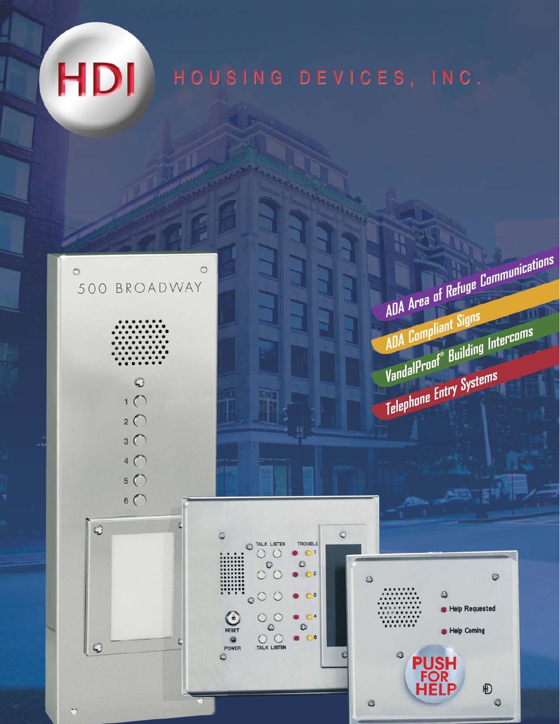# HOUSING DEVICES, INC. HOUSING DEVICES, INC.

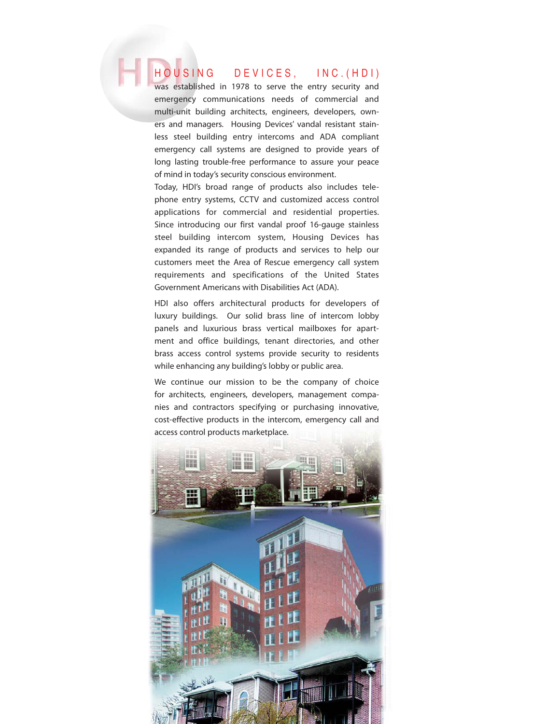### HOUSING DEVICES, INC.(HDI)

was established in 1978 to serve the entry security and emergency communications needs of commercial and multi-unit building architects, engineers, developers, owners and managers. Housing Devices' vandal resistant stainless steel building entry intercoms and ADA compliant emergency call systems are designed to provide years of long lasting trouble-free performance to assure your peace of mind in today's security conscious environment.

Today, HDI's broad range of products also includes telephone entry systems, CCTV and customized access control applications for commercial and residential properties. Since introducing our first vandal proof 16-gauge stainless steel building intercom system, Housing Devices has expanded its range of products and services to help our customers meet the Area of Rescue emergency call system requirements and specifications of the United States Government Americans with Disabilities Act (ADA).

HDI also offers architectural products for developers of luxury buildings. Our solid brass line of intercom lobby panels and luxurious brass vertical mailboxes for apartment and office buildings, tenant directories, and other brass access control systems provide security to residents while enhancing any building's lobby or public area.

We continue our mission to be the company of choice for architects, engineers, developers, management companies and contractors specifying or purchasing innovative, cost-effective products in the intercom, emergency call and access control products marketplace.

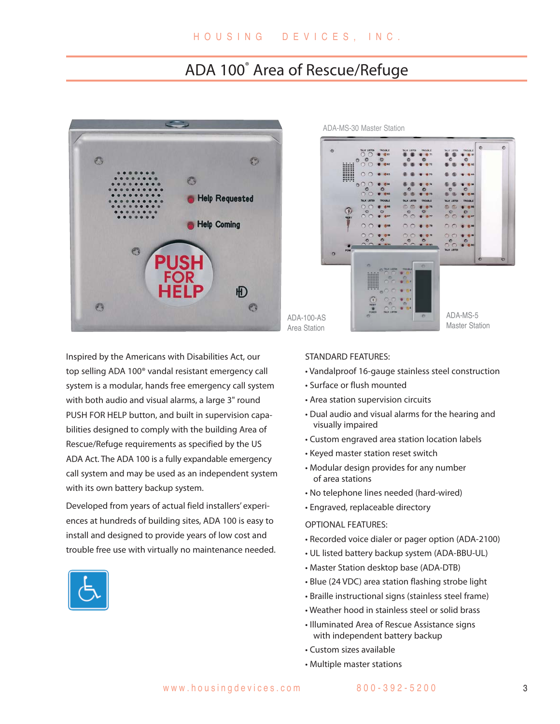### ADA 100® Area of Rescue/Refuge



Inspired by the Americans with Disabilities Act, our top selling ADA 100® vandal resistant emergency call system is a modular, hands free emergency call system with both audio and visual alarms, a large 3" round PUSH FOR HELP button, and built in supervision capabilities designed to comply with the building Area of Rescue/Refuge requirements as specified by the US ADA Act. The ADA 100 is a fully expandable emergency call system and may be used as an independent system with its own battery backup system.

Developed from years of actual field installers' experiences at hundreds of building sites, ADA 100 is easy to install and designed to provide years of low cost and trouble free use with virtually no maintenance needed.







### STANDARD FEATURES:

- Vandalproof 16-gauge stainless steel construction
- Surface or flush mounted
- Area station supervision circuits
- Dual audio and visual alarms for the hearing and visually impaired
- Custom engraved area station location labels
- Keyed master station reset switch
- Modular design provides for any number of area stations
- No telephone lines needed (hard-wired)
- Engraved, replaceable directory

#### OPTIONAL FEATURES:

- Recorded voice dialer or pager option (ADA-2100)
- UL listed battery backup system (ADA-BBU-UL)
- Master Station desktop base (ADA-DTB)
- Blue (24 VDC) area station flashing strobe light
- Braille instructional signs (stainless steel frame)
- Weather hood in stainless steel or solid brass
- Illuminated Area of Rescue Assistance signs with independent battery backup
- Custom sizes available
- Multiple master stations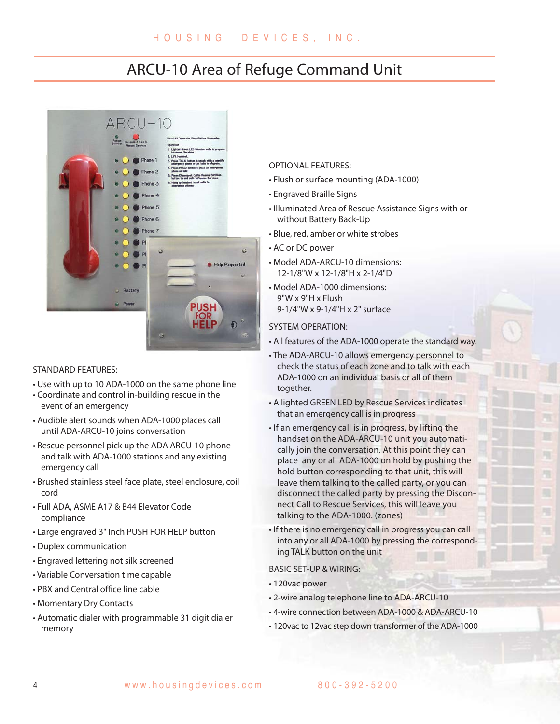### ARCU-10 Area of Refuge Command Unit



#### STANDARD FEATURES:

- Use with up to 10 ADA-1000 on the same phone line
- Coordinate and control in-building rescue in the event of an emergency
- Audible alert sounds when ADA-1000 places call until ADA-ARCU-10 joins conversation
- Rescue personnel pick up the ADA ARCU-10 phone and talk with ADA-1000 stations and any existing emergency call
- Brushed stainless steel face plate, steel enclosure, coil cord
- Full ADA, ASME A17 & B44 Elevator Code compliance
- Large engraved 3" Inch PUSH FOR HELP button
- Duplex communication
- Engraved lettering not silk screened
- Variable Conversation time capable
- PBX and Central office line cable
- Momentary Dry Contacts
- Automatic dialer with programmable 31 digit dialer memory

### OPTIONAL FEATURES:

- Flush or surface mounting (ADA-1000)
- Engraved Braille Signs
- Illuminated Area of Rescue Assistance Signs with or without Battery Back-Up
- Blue, red, amber or white strobes
- AC or DC power
- Model ADA-ARCU-10 dimensions: 12-1/8"W x 12-1/8"H x 2-1/4"D
- Model ADA-1000 dimensions: 9"W x 9"H x Flush 9-1/4"W x 9-1/4"H x 2" surface

#### SYSTEM OPERATION:

- All features of the ADA-1000 operate the standard way.
- The ADA-ARCU-10 allows emergency personnel to check the status of each zone and to talk with each ADA-1000 on an individual basis or all of them together.
- A lighted GREEN LED by Rescue Services indicates that an emergency call is in progress
- If an emergency call is in progress, by lifting the handset on the ADA-ARCU-10 unit you automatically join the conversation. At this point they can place any or all ADA-1000 on hold by pushing the hold button corresponding to that unit, this will leave them talking to the called party, or you can disconnect the called party by pressing the Disconnect Call to Rescue Services, this will leave you talking to the ADA-1000. (zones)

環

• If there is no emergency call in progress you can call into any or all ADA-1000 by pressing the corresponding TALK button on the unit

#### BASIC SET-UP & WIRING:

- 120vac power
- 2-wire analog telephone line to ADA-ARCU-10
- 4-wire connection between ADA-1000 & ADA-ARCU-10
- 120vac to 12vac step down transformer of the ADA-1000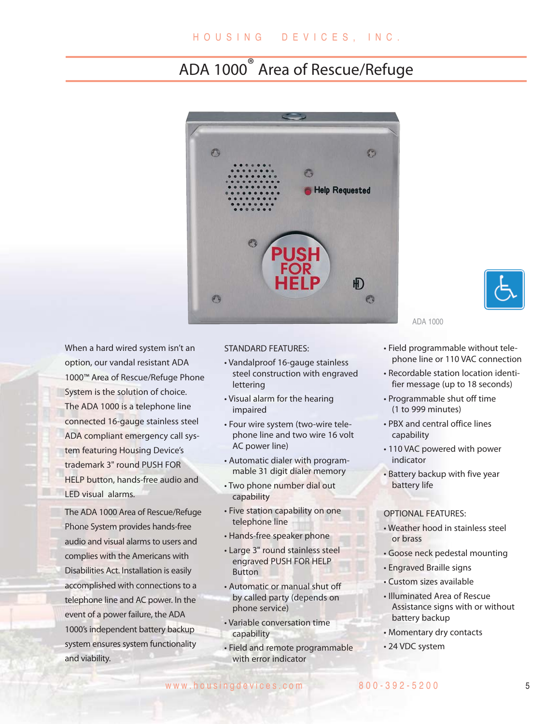## ADA 1000 ® Area of Rescue/Refuge



When a hard wired system isn't an option, our vandal resistant ADA 1000™ Area of Rescue/Refuge Phone System is the solution of choice. The ADA 1000 is a telephone line connected 16-gauge stainless steel ADA compliant emergency call system featuring Housing Device's trademark 3" round PUSH FOR HELP button, hands-free audio and LED visual alarms.

The ADA 1000 Area of Rescue/Refuge Phone System provides hands-free audio and visual alarms to users and complies with the Americans with Disabilities Act. Installation is easily accomplished with connections to a telephone line and AC power. In the event of a power failure, the ADA 1000's independent battery backup system ensures system functionality and viability.

### STANDARD FEATURES:

- Vandalproof 16-gauge stainless steel construction with engraved lettering
- Visual alarm for the hearing impaired
- Four wire system (two-wire telephone line and two wire 16 volt AC power line)
- Automatic dialer with programmable 31 digit dialer memory
- Two phone number dial out capability
- Five station capability on one telephone line
- Hands-free speaker phone
- Large 3" round stainless steel engraved PUSH FOR HELP **Button**
- Automatic or manual shut off by called party (depends on phone service)
- Variable conversation time capability
- Field and remote programmable with error indicator

ADA 1000

- Field programmable without telephone line or 110 VAC connection
- Recordable station location identifier message (up to 18 seconds)
- Programmable shut off time (1 to 999 minutes)
- PBX and central office lines capability
- 110 VAC powered with power indicator
- Battery backup with five year battery life

#### OPTIONAL FEATURES:

- Weather hood in stainless steel or brass
- Goose neck pedestal mounting
- Engraved Braille signs
- Custom sizes available
- Illuminated Area of Rescue Assistance signs with or without battery backup
- Momentary dry contacts
- 24 VDC system

www.housingdevices.com 800-392-5200 5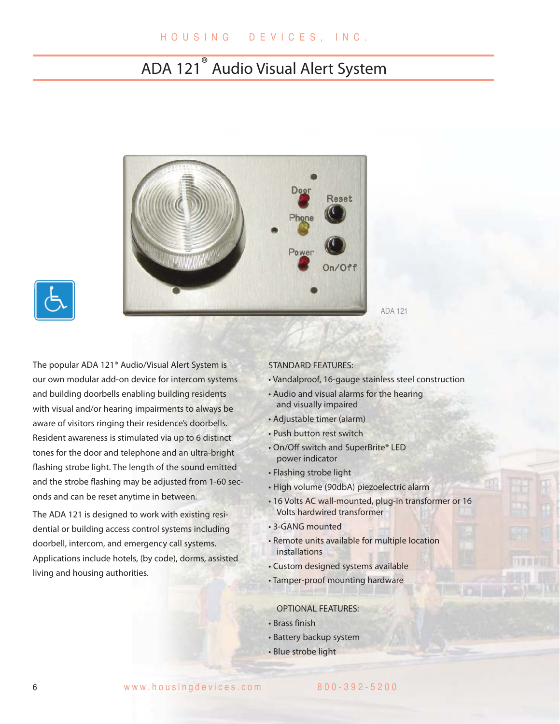## ADA 121 ® Audio Visual Alert System





The popular ADA 121® Audio/Visual Alert System is our own modular add-on device for intercom systems and building doorbells enabling building residents with visual and/or hearing impairments to always be aware of visitors ringing their residence's doorbells. Resident awareness is stimulated via up to 6 distinct tones for the door and telephone and an ultra-bright flashing strobe light. The length of the sound emitted and the strobe flashing may be adjusted from 1-60 seconds and can be reset anytime in between.

The ADA 121 is designed to work with existing residential or building access control systems including doorbell, intercom, and emergency call systems. Applications include hotels, (by code), dorms, assisted living and housing authorities.

### STANDARD FEATURES:

- Vandalproof, 16-gauge stainless steel construction
- Audio and visual alarms for the hearing and visually impaired
- Adjustable timer (alarm)
- Push button rest switch
- On/Off switch and SuperBrite® LED power indicator
- Flashing strobe light
- High volume (90dbA) piezoelectric alarm
- 16 Volts AC wall-mounted, plug-in transformer or 16 Volts hardwired transformer
- 3-GANG mounted
- Remote units available for multiple location installations
- Custom designed systems available
- Tamper-proof mounting hardware

OPTIONAL FEATURES:

- Brass finish
- Battery backup system
- Blue strobe light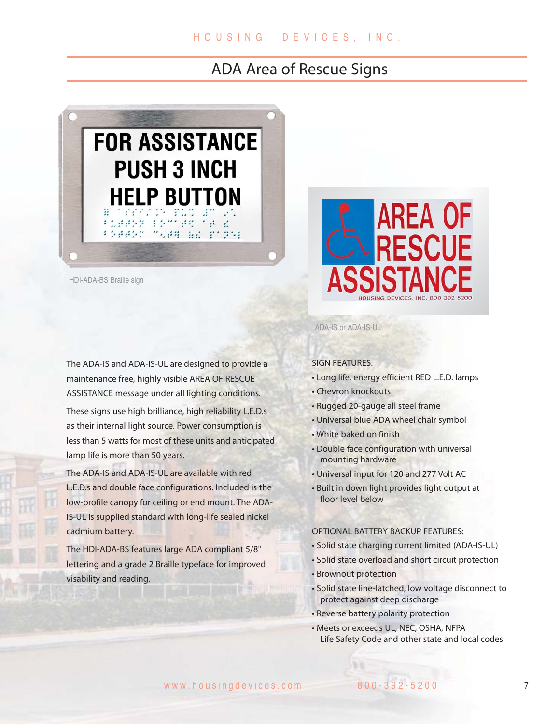### ADA Area of Rescue Signs



HDI-ADA-BS Braille sign

The ADA-IS and ADA-IS-UL are designed to provide a maintenance free, highly visible AREA OF RESCUE ASSISTANCE message under all lighting conditions.

These signs use high brilliance, high reliability L.E.D.s as their internal light source. Power consumption is less than 5 watts for most of these units and anticipated lamp life is more than 50 years.

The ADA-IS and ADA-IS-UL are available with red L.E.D.s and double face configurations. Included is the low-profile canopy for ceiling or end mount. The ADA-IS-UL is supplied standard with long-life sealed nickel cadmium battery.

The HDI-ADA-BS features large ADA compliant 5/8" lettering and a grade 2 Braille typeface for improved visability and reading.



ADA-IS or ADA-IS-UL

SIGN FEATURES:

- Long life, energy efficient RED L.E.D. lamps
- Chevron knockouts
- Rugged 20-gauge all steel frame
- Universal blue ADA wheel chair symbol
- White baked on finish
- Double face configuration with universal mounting hardware
- Universal input for 120 and 277 Volt AC
- Built in down light provides light output at floor level below

#### OPTIONAL BATTERY BACKUP FEATURES:

- Solid state charging current limited (ADA-IS-UL)
- Solid state overload and short circuit protection
- Brownout protection
- Solid state line-latched, low voltage disconnect to protect against deep discharge
- Reverse battery polarity protection
- Meets or exceeds UL, NEC, OSHA, NFPA Life Safety Code and other state and local codes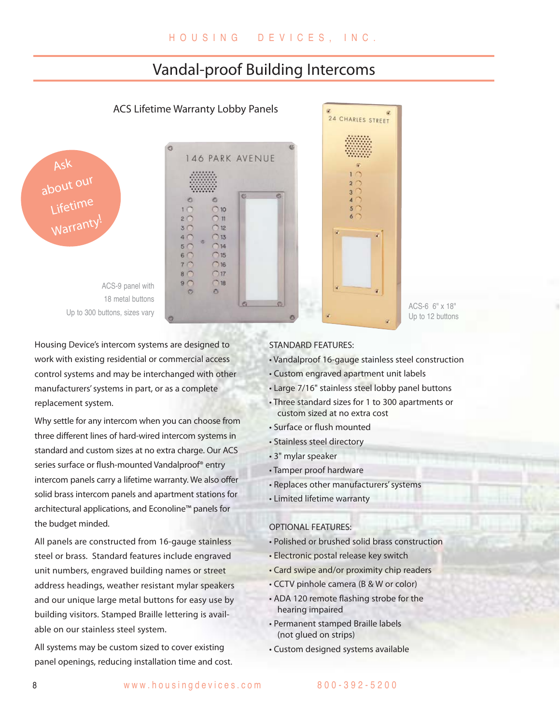### Vandal-proof Building Intercoms

### ACS Lifetime Warranty Lobby Panels





ACS-9 panel with 18 metal buttons Up to 300 buttons, sizes vary

Housing Device's intercom systems are designed to work with existing residential or commercial access control systems and may be interchanged with other manufacturers' systems in part, or as a complete replacement system.

Why settle for any intercom when you can choose from three different lines of hard-wired intercom systems in standard and custom sizes at no extra charge. Our ACS series surface or flush-mounted Vandalproof® entry intercom panels carry a lifetime warranty. We also offer solid brass intercom panels and apartment stations for architectural applications, and Econoline™ panels for the budget minded.

All panels are constructed from 16-gauge stainless steel or brass. Standard features include engraved unit numbers, engraved building names or street address headings, weather resistant mylar speakers and our unique large metal buttons for easy use by building visitors. Stamped Braille lettering is available on our stainless steel system.

All systems may be custom sized to cover existing panel openings, reducing installation time and cost.

#### STANDARD FEATURES:

• Vandalproof 16-gauge stainless steel construction

ACS-6 6" x 18" Up to 12 buttons

- Custom engraved apartment unit labels
- Large 7/16" stainless steel lobby panel buttons

24 CHARLES STREET

3

 $\overline{5}$ 

6

- Three standard sizes for 1 to 300 apartments or custom sized at no extra cost
- Surface or flush mounted
- Stainless steel directory
- 3" mylar speaker
- Tamper proof hardware
- Replaces other manufacturers' systems
- Limited lifetime warranty

### OPTIONAL FEATURES:

- Polished or brushed solid brass construction
- Electronic postal release key switch
- Card swipe and/or proximity chip readers
- CCTV pinhole camera (B & W or color)
- ADA 120 remote flashing strobe for the hearing impaired
- Permanent stamped Braille labels (not glued on strips)
- Custom designed systems available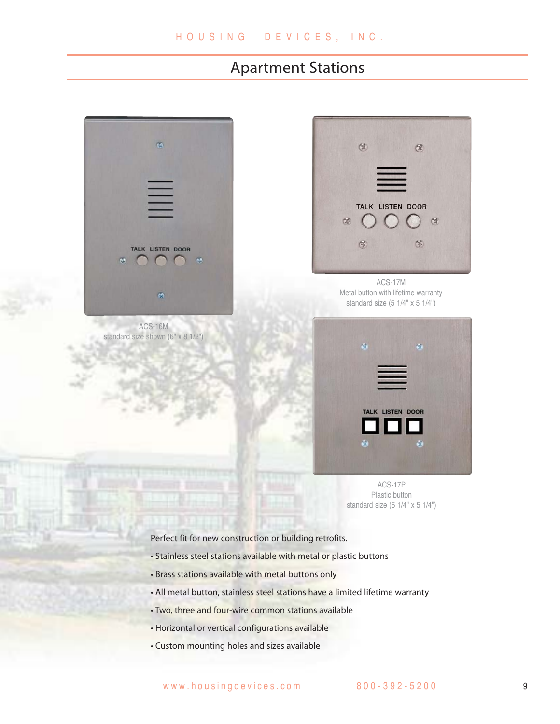### Apartment Stations



ACS-16M standard size shown (6" x 8 1/2")



ACS-17M Metal button with lifetime warranty standard size (5 1/4" x 5 1/4")



ACS-17P Plastic button standard size (5 1/4" x 5 1/4")

Perfect fit for new construction or building retrofits.

- Stainless steel stations available with metal or plastic buttons
- Brass stations available with metal buttons only
- All metal button, stainless steel stations have a limited lifetime warranty
- Two, three and four-wire common stations available
- Horizontal or vertical configurations available
- Custom mounting holes and sizes available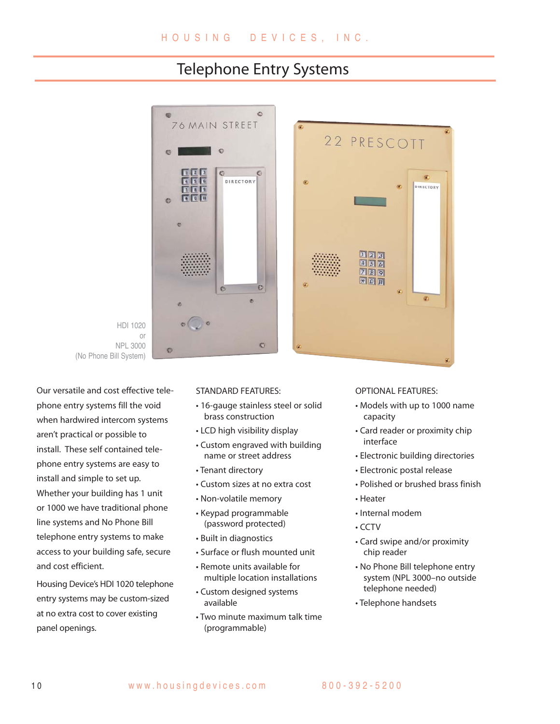### Telephone Entry Systems

riit.





e

Our versatile and cost effective telephone entry systems fill the void when hardwired intercom systems aren't practical or possible to install. These self contained telephone entry systems are easy to install and simple to set up. Whether your building has 1 unit or 1000 we have traditional phone line systems and No Phone Bill telephone entry systems to make access to your building safe, secure and cost efficient.

Housing Device's HDI 1020 telephone entry systems may be custom-sized at no extra cost to cover existing panel openings.

#### STANDARD FEATURES:

- 16-gauge stainless steel or solid brass construction
- LCD high visibility display
- Custom engraved with building name or street address
- Tenant directory
- Custom sizes at no extra cost
- Non-volatile memory
- Keypad programmable (password protected)
- Built in diagnostics
- Surface or flush mounted unit
- Remote units available for multiple location installations
- Custom designed systems available
- Two minute maximum talk time (programmable)

### OPTIONAL FEATURES:

22 PRESCOTT

 $\frac{1}{2}$  $\frac{1}{3}$  $455$  $789$ **\* 回田** 

• Models with up to 1000 name capacity

 $\alpha$ 

**DIRECTORY** 

m.

- Card reader or proximity chip interface
- Electronic building directories
- Electronic postal release
- Polished or brushed brass finish
- Heater
- Internal modem
- CCTV
- Card swipe and/or proximity chip reader
- No Phone Bill telephone entry system (NPL 3000–no outside telephone needed)
- Telephone handsets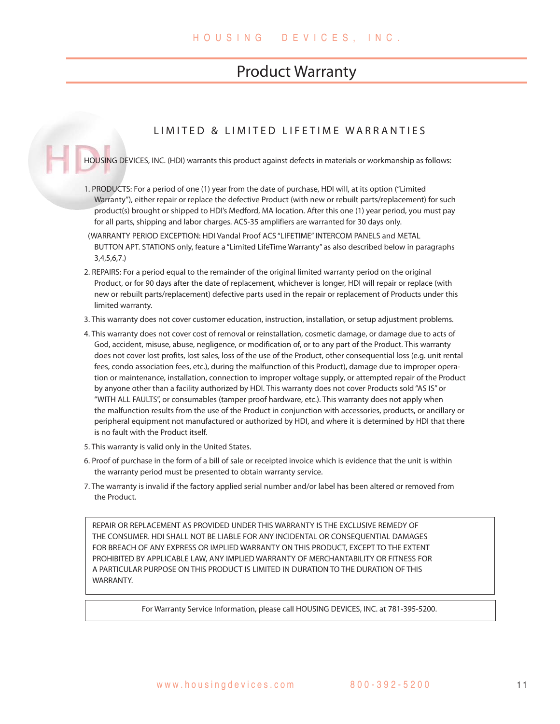### Product Warranty

### LIMITED & LIMITED LIFETIME WARRANTIES

HOUSING DEVICES, INC. (HDI) warrants this product against defects in materials or workmanship as follows:

- 1. PRODUCTS: For a period of one (1) year from the date of purchase, HDI will, at its option ("Limited Warranty"), either repair or replace the defective Product (with new or rebuilt parts/replacement) for such product(s) brought or shipped to HDI's Medford, MA location. After this one (1) year period, you must pay for all parts, shipping and labor charges. ACS-35 amplifiers are warranted for 30 days only.
- (WARRANTY PERIOD EXCEPTION: HDI Vandal Proof ACS "LIFETIME" INTERCOM PANELS and METAL BUTTON APT. STATIONS only, feature a "Limited LifeTime Warranty" as also described below in paragraphs 3,4,5,6,7.)
- 2. REPAIRS: For a period equal to the remainder of the original limited warranty period on the original Product, or for 90 days after the date of replacement, whichever is longer, HDI will repair or replace (with new or rebuilt parts/replacement) defective parts used in the repair or replacement of Products under this limited warranty.
- 3. This warranty does not cover customer education, instruction, installation, or setup adjustment problems.
- 4. This warranty does not cover cost of removal or reinstallation, cosmetic damage, or damage due to acts of God, accident, misuse, abuse, negligence, or modification of, or to any part of the Product. This warranty does not cover lost profits, lost sales, loss of the use of the Product, other consequential loss (e.g. unit rental fees, condo association fees, etc.), during the malfunction of this Product), damage due to improper operation or maintenance, installation, connection to improper voltage supply, or attempted repair of the Product by anyone other than a facility authorized by HDI. This warranty does not cover Products sold "AS IS" or "WITH ALL FAULTS", or consumables (tamper proof hardware, etc.). This warranty does not apply when the malfunction results from the use of the Product in conjunction with accessories, products, or ancillary or peripheral equipment not manufactured or authorized by HDI, and where it is determined by HDI that there is no fault with the Product itself.
- 5. This warranty is valid only in the United States.
- 6. Proof of purchase in the form of a bill of sale or receipted invoice which is evidence that the unit is within the warranty period must be presented to obtain warranty service.
- 7. The warranty is invalid if the factory applied serial number and/or label has been altered or removed from the Product.

REPAIR OR REPLACEMENT AS PROVIDED UNDER THIS WARRANTY IS THE EXCLUSIVE REMEDY OF THE CONSUMER. HDI SHALL NOT BE LIABLE FOR ANY INCIDENTAL OR CONSEQUENTIAL DAMAGES FOR BREACH OF ANY EXPRESS OR IMPLIED WARRANTY ON THIS PRODUCT, EXCEPT TO THE EXTENT PROHIBITED BY APPLICABLE LAW, ANY IMPLIED WARRANTY OF MERCHANTABILITY OR FITNESS FOR A PARTICULAR PURPOSE ON THIS PRODUCT IS LIMITED IN DURATION TO THE DURATION OF THIS WARRANTY.

For Warranty Service Information, please call HOUSING DEVICES, INC. at 781-395-5200.